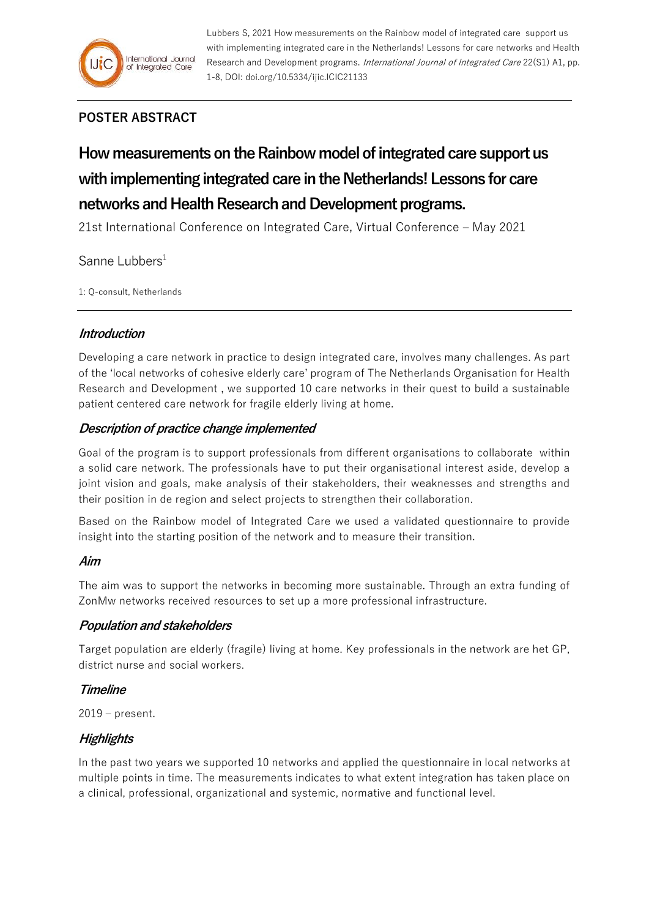

Lubbers S, 2021 How measurements on the Rainbow model of integrated care support us with implementing integrated care in the Netherlands! Lessons for care networks and Health Research and Development programs. International Journal of Integrated Care 22(S1) A1, pp. 1-8, DOI: doi.org/10.5334/ijic.ICIC21133

# **POSTER ABSTRACT**

# **How measurements on the Rainbow model of integrated care supportus with implementing integrated care in the Netherlands! Lessons for care networks and Health Research and Development programs.**

21st International Conference on Integrated Care, Virtual Conference – May 2021

# Sanne Lubbers $1$

1: Q-consult, Netherlands

# **Introduction**

Developing a care network in practice to design integrated care, involves many challenges. As part of the 'local networks of cohesive elderly care' program of The Netherlands Organisation for Health Research and Development , we supported 10 care networks in their quest to build a sustainable patient centered care network for fragile elderly living at home.

# **Description of practice change implemented**

Goal of the program is to support professionals from different organisations to collaborate within a solid care network. The professionals have to put their organisational interest aside, develop a joint vision and goals, make analysis of their stakeholders, their weaknesses and strengths and their position in de region and select projects to strengthen their collaboration.

Based on the Rainbow model of Integrated Care we used a validated questionnaire to provide insight into the starting position of the network and to measure their transition.

#### **Aim**

The aim was to support the networks in becoming more sustainable. Through an extra funding of ZonMw networks received resources to set up a more professional infrastructure.

#### **Population and stakeholders**

Target population are elderly (fragile) living at home. Key professionals in the network are het GP, district nurse and social workers.

#### **Timeline**

2019 – present.

# **Highlights**

In the past two years we supported 10 networks and applied the questionnaire in local networks at multiple points in time. The measurements indicates to what extent integration has taken place on a clinical, professional, organizational and systemic, normative and functional level.